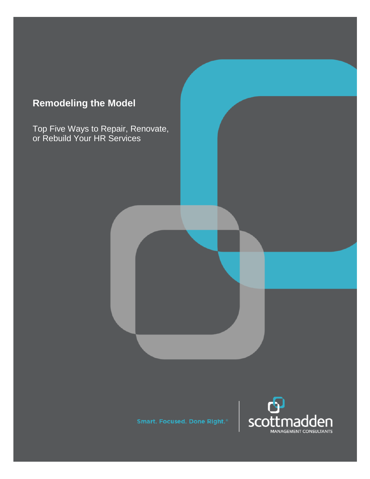# **Remodeling the Model**

Top Five Ways to Repair, Renovate, or Rebuild Your HR Services

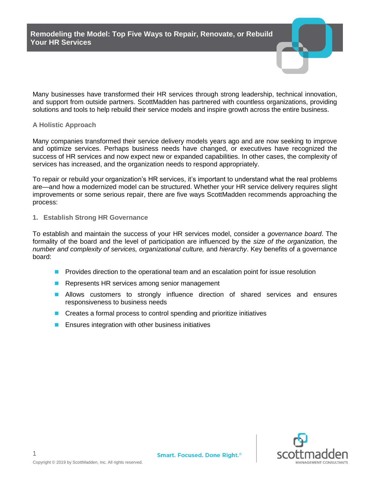**Remodeling the Model: Top Five Ways to Repair, Renovate, or Rebuild Your HR Services**



Many businesses have transformed their HR services through strong leadership, technical innovation, and support from outside partners. ScottMadden has partnered with countless organizations, providing solutions and tools to help rebuild their service models and inspire growth across the entire business.

#### **A Holistic Approach**

Many companies transformed their service delivery models years ago and are now seeking to improve and optimize services. Perhaps business needs have changed, or executives have recognized the success of HR services and now expect new or expanded capabilities. In other cases, the complexity of services has increased, and the organization needs to respond appropriately.

To repair or rebuild your organization's HR services, it's important to understand what the real problems are—and how a modernized model can be structured. Whether your HR service delivery requires slight improvements or some serious repair, there are five ways ScottMadden recommends approaching the process:

**1. Establish Strong HR Governance**

To establish and maintain the success of your HR services model, consider a *governance board*. The formality of the board and the level of participation are influenced by the *size of the organization,* the *number and complexity of services, organizational culture,* and *hierarchy*. Key benefits of a governance board:

- Provides direction to the operational team and an escalation point for issue resolution
- Represents HR services among senior management
- Allows customers to strongly influence direction of shared services and ensures responsiveness to business needs
- Creates a formal process to control spending and prioritize initiatives
- Ensures integration with other business initiatives



1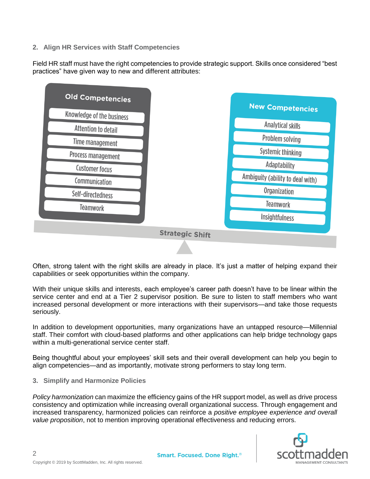## **2. Align HR Services with Staff Competencies**

Field HR staff must have the right competencies to provide strategic support. Skills once considered "best practices" have given way to new and different attributes:



Often, strong talent with the right skills are already in place. It's just a matter of helping expand their capabilities or seek opportunities within the company.

With their unique skills and interests, each employee's career path doesn't have to be linear within the service center and end at a Tier 2 supervisor position. Be sure to listen to staff members who want increased personal development or more interactions with their supervisors—and take those requests seriously.

In addition to development opportunities, many organizations have an untapped resource—Millennial staff. Their comfort with cloud-based platforms and other applications can help bridge technology gaps within a multi-generational service center staff.

Being thoughtful about your employees' skill sets and their overall development can help you begin to align competencies—and as importantly, motivate strong performers to stay long term.

**3. Simplify and Harmonize Policies**

*Policy harmonization* can maximize the efficiency gains of the HR support model, as well as drive process consistency and optimization while increasing overall organizational success. Through engagement and increased transparency, harmonized policies can reinforce a *positive employee experience and overall value proposition*, not to mention improving operational effectiveness and reducing errors.



2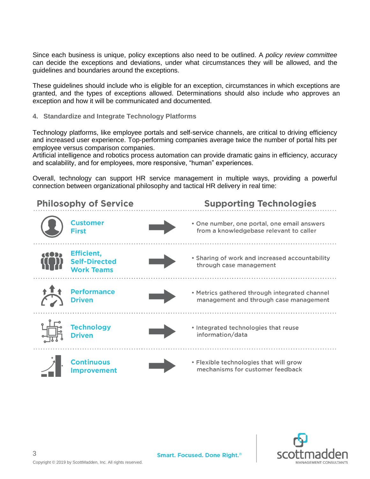Since each business is unique, policy exceptions also need to be outlined. A *policy review committee* can decide the exceptions and deviations, under what circumstances they will be allowed, and the guidelines and boundaries around the exceptions.

These guidelines should include who is eligible for an exception, circumstances in which exceptions are granted, and the types of exceptions allowed. Determinations should also include who approves an exception and how it will be communicated and documented.

**4. Standardize and Integrate Technology Platforms**

Technology platforms, like employee portals and self-service channels, are critical to driving efficiency and increased user experience. Top-performing companies average twice the number of portal hits per employee versus comparison companies.

Artificial intelligence and robotics process automation can provide dramatic gains in efficiency, accuracy and scalability, and for employees, more responsive, "human" experiences.

Overall, technology can support HR service management in multiple ways, providing a powerful connection between organizational philosophy and tactical HR delivery in real time: